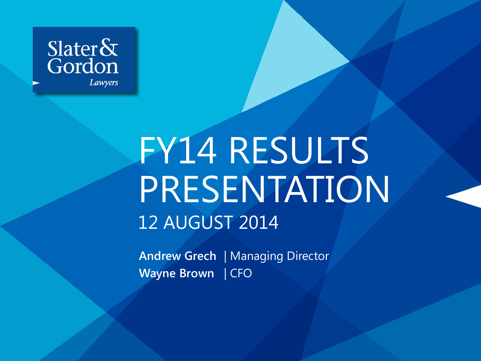

# FY14 RESULTS PRESENTATION 12 AUGUST 2014

**Andrew Grech** | Managing Director **Wayne Brown** | CFO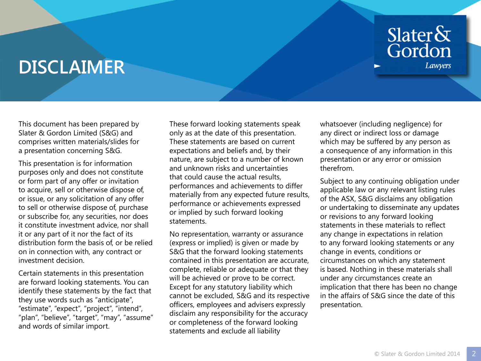### Slater&<br>Gordon Lawyers

### **DISCLAIMER**

This document has been prepared by Slater & Gordon Limited (S&G) and comprises written materials/slides for a presentation concerning S&G.

This presentation is for information purposes only and does not constitute or form part of any offer or invitation to acquire, sell or otherwise dispose of, or issue, or any solicitation of any offer to sell or otherwise dispose of, purchase or subscribe for, any securities, nor does it constitute investment advice, nor shall it or any part of it nor the fact of its distribution form the basis of, or be relied on in connection with, any contract or investment decision.

Certain statements in this presentation are forward looking statements. You can identify these statements by the fact that they use words such as "anticipate", "estimate", "expect", "project", "intend", "plan", "believe", "target", "may", "assume" and words of similar import.

These forward looking statements speak only as at the date of this presentation. These statements are based on current expectations and beliefs and, by their nature, are subject to a number of known and unknown risks and uncertainties that could cause the actual results, performances and achievements to differ materially from any expected future results, performance or achievements expressed or implied by such forward looking statements.

No representation, warranty or assurance (express or implied) is given or made by S&G that the forward looking statements contained in this presentation are accurate, complete, reliable or adequate or that they will be achieved or prove to be correct. Except for any statutory liability which cannot be excluded, S&G and its respective officers, employees and advisers expressly disclaim any responsibility for the accuracy or completeness of the forward looking statements and exclude all liability

whatsoever (including negligence) for any direct or indirect loss or damage which may be suffered by any person as a consequence of any information in this presentation or any error or omission therefrom.

Subject to any continuing obligation under applicable law or any relevant listing rules of the ASX, S&G disclaims any obligation or undertaking to disseminate any updates or revisions to any forward looking statements in these materials to reflect any change in expectations in relation to any forward looking statements or any change in events, conditions or circumstances on which any statement is based. Nothing in these materials shall under any circumstances create an implication that there has been no change in the affairs of S&G since the date of this presentation.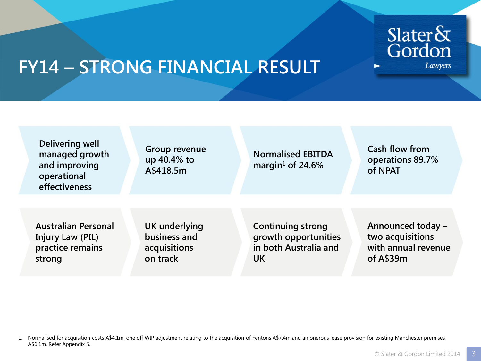

### **FY14 – STRONG FINANCIAL RESULT**

| Delivering well<br>managed growth<br>and improving<br>operational<br>effectiveness | Group revenue<br>up 40.4% to<br>A\$418.5m | <b>Normalised EBITDA</b><br>margin <sup>1</sup> of 24.6% | Cash flow from<br>operations 89.7%<br>of NPAT |
|------------------------------------------------------------------------------------|-------------------------------------------|----------------------------------------------------------|-----------------------------------------------|
| <b>Australian Personal</b>                                                         | UK underlying                             | <b>Continuing strong</b>                                 | Announced today -                             |
| <b>Injury Law (PIL)</b>                                                            | business and                              | growth opportunities                                     | two acquisitions                              |
| practice remains                                                                   | acquisitions                              | in both Australia and                                    | with annual revenue                           |
| strong                                                                             | on track                                  | <b>UK</b>                                                | of $A$39m$                                    |

1. Normalised for acquisition costs A\$4.1m, one off WIP adjustment relating to the acquisition of Fentons A\$7.4m and an onerous lease provision for existing Manchester premises A\$6.1m. Refer Appendix 5.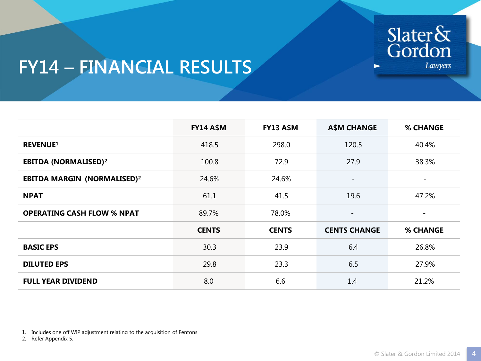

### **FY14 – FINANCIAL RESULTS**

|                                        | <b>FY14 A\$M</b> | <b>FY13 A\$M</b> | <b>A\$M CHANGE</b>       | <b>% CHANGE</b>          |
|----------------------------------------|------------------|------------------|--------------------------|--------------------------|
| <b>REVENUE1</b>                        | 418.5            | 298.0            | 120.5                    | 40.4%                    |
| <b>EBITDA (NORMALISED)<sup>2</sup></b> | 100.8            | 72.9             | 27.9                     | 38.3%                    |
| <b>EBITDA MARGIN (NORMALISED)2</b>     | 24.6%            | 24.6%            | $\overline{\phantom{a}}$ | $\overline{\phantom{a}}$ |
| <b>NPAT</b>                            | 61.1             | 41.5             | 19.6                     | 47.2%                    |
| <b>OPERATING CASH FLOW % NPAT</b>      | 89.7%            | 78.0%            | $\overline{\phantom{a}}$ | $\overline{\phantom{a}}$ |
|                                        | <b>CENTS</b>     | <b>CENTS</b>     | <b>CENTS CHANGE</b>      | <b>% CHANGE</b>          |
| <b>BASIC EPS</b>                       | 30.3             | 23.9             | 6.4                      | 26.8%                    |
| <b>DILUTED EPS</b>                     | 29.8             | 23.3             | 6.5                      | 27.9%                    |
| <b>FULL YEAR DIVIDEND</b>              | 8.0              | 6.6              | 1.4                      | 21.2%                    |

1. Includes one off WIP adjustment relating to the acquisition of Fentons.

2. Refer Appendix 5.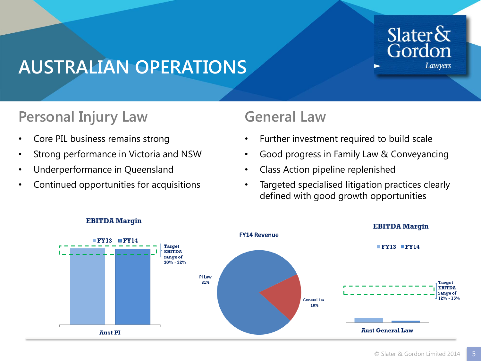#### Slater $\&$ Gordon **Lawyers**

#### **AUSTRALIAN OPERATIONS**

#### **Personal Injury Law**

- Core PIL business remains strong
- Strong performance in Victoria and NSW
- Underperformance in Queensland
- Continued opportunities for acquisitions

#### **General Law**

- Further investment required to build scale
- Good progress in Family Law & Conveyancing
- Class Action pipeline replenished
- Targeted specialised litigation practices clearly defined with good growth opportunities



#### **EBITDA** Margin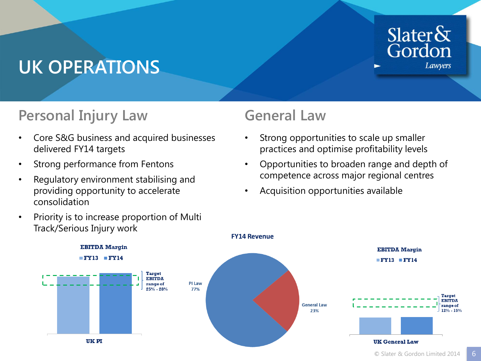#### Slater $\delta x$ Gordon **Lawyers**

## **UK OPERATIONS**

#### **Personal Injury Law**

- Core S&G business and acquired businesses delivered FY14 targets
- Strong performance from Fentons
- Regulatory environment stabilising and providing opportunity to accelerate consolidation
- Priority is to increase proportion of Multi Track/Serious Injury work

#### **General Law**

- Strong opportunities to scale up smaller practices and optimise profitability levels
- Opportunities to broaden range and depth of competence across major regional centres
- Acquisition opportunities available

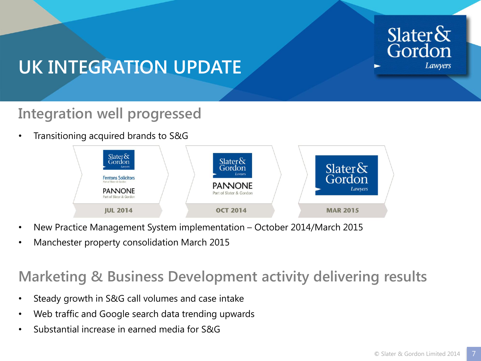

### **UK INTEGRATION UPDATE**

#### **Integration well progressed**

• Transitioning acquired brands to S&G



- New Practice Management System implementation October 2014/March 2015
- Manchester property consolidation March 2015

#### **Marketing & Business Development activity delivering results**

- Steady growth in S&G call volumes and case intake
- Web traffic and Google search data trending upwards
- Substantial increase in earned media for S&G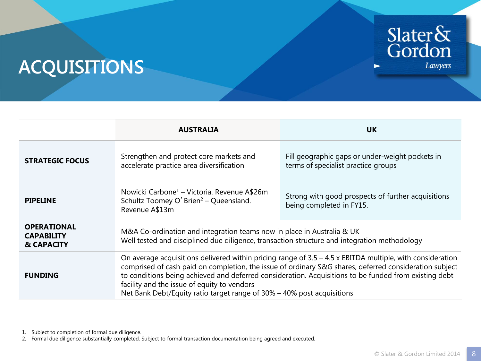# Slater&<br>Gordon Lawyers

►

### **ACQUISITIONS**

|                                                       | <b>AUSTRALIA</b>                                                                                                                                                                                                                                                                                                                                                                                                                                        | <b>UK</b>                                                                              |  |  |  |
|-------------------------------------------------------|---------------------------------------------------------------------------------------------------------------------------------------------------------------------------------------------------------------------------------------------------------------------------------------------------------------------------------------------------------------------------------------------------------------------------------------------------------|----------------------------------------------------------------------------------------|--|--|--|
| <b>STRATEGIC FOCUS</b>                                | Strengthen and protect core markets and<br>accelerate practice area diversification                                                                                                                                                                                                                                                                                                                                                                     | Fill geographic gaps or under-weight pockets in<br>terms of specialist practice groups |  |  |  |
| <b>PIPELINE</b>                                       | Nowicki Carbone <sup>1</sup> – Victoria. Revenue A\$26m<br>Schultz Toomey O' Brien <sup>2</sup> - Queensland.<br>Revenue A\$13m                                                                                                                                                                                                                                                                                                                         | Strong with good prospects of further acquisitions<br>being completed in FY15.         |  |  |  |
| <b>OPERATIONAL</b><br><b>CAPABILITY</b><br>& CAPACITY | M&A Co-ordination and integration teams now in place in Australia & UK<br>Well tested and disciplined due diligence, transaction structure and integration methodology                                                                                                                                                                                                                                                                                  |                                                                                        |  |  |  |
| <b>FUNDING</b>                                        | On average acquisitions delivered within pricing range of $3.5 - 4.5$ x EBITDA multiple, with consideration<br>comprised of cash paid on completion, the issue of ordinary S&G shares, deferred consideration subject<br>to conditions being achieved and deferred consideration. Acquisitions to be funded from existing debt<br>facility and the issue of equity to vendors<br>Net Bank Debt/Equity ratio target range of 30% - 40% post acquisitions |                                                                                        |  |  |  |

1. Subject to completion of formal due diligence.

2. Formal due diligence substantially completed. Subject to formal transaction documentation being agreed and executed.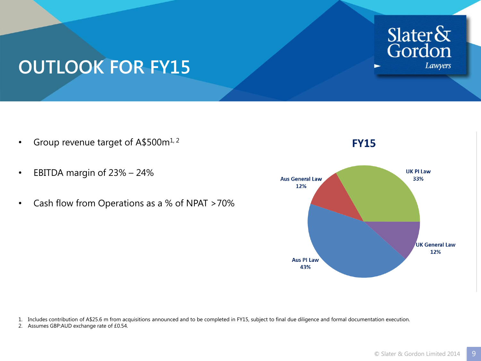

### **OUTLOOK FOR FY15**

- Group revenue target of A\$500m<sup>1, 2</sup>
- EBITDA margin of 23% 24%
- Cash flow from Operations as a % of NPAT >70%



**FY15** 

1. Includes contribution of A\$25.6 m from acquisitions announced and to be completed in FY15, subject to final due diligence and formal documentation execution.

2. Assumes GBP:AUD exchange rate of £0.54.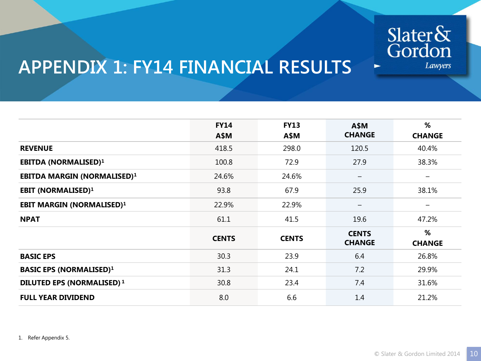

#### **APPENDIX 1: FY14 FINANCIAL RESULTS**

|                                    | <b>FY14</b><br>A\$M | <b>FY13</b><br>A\$M | <b>A\$M</b><br><b>CHANGE</b>  | %<br><b>CHANGE</b> |
|------------------------------------|---------------------|---------------------|-------------------------------|--------------------|
| <b>REVENUE</b>                     | 418.5               | 298.0               | 120.5                         | 40.4%              |
| <b>EBITDA (NORMALISED)1</b>        | 100.8               | 72.9                | 27.9                          | 38.3%              |
| <b>EBITDA MARGIN (NORMALISED)1</b> | 24.6%               | 24.6%               | —                             |                    |
| <b>EBIT (NORMALISED)1</b>          | 93.8                | 67.9                | 25.9                          | 38.1%              |
| <b>EBIT MARGIN (NORMALISED)1</b>   | 22.9%               | 22.9%               | $\qquad \qquad$               | $\qquad \qquad$    |
| <b>NPAT</b>                        | 61.1                | 41.5                | 19.6                          | 47.2%              |
|                                    | <b>CENTS</b>        | <b>CENTS</b>        | <b>CENTS</b><br><b>CHANGE</b> | %<br><b>CHANGE</b> |
| <b>BASIC EPS</b>                   | 30.3                | 23.9                | 6.4                           | 26.8%              |
| <b>BASIC EPS (NORMALISED)1</b>     | 31.3                | 24.1                | 7.2                           | 29.9%              |
| <b>DILUTED EPS (NORMALISED) 1</b>  | 30.8                | 23.4                | 7.4                           | 31.6%              |
| <b>FULL YEAR DIVIDEND</b>          | 8.0                 | 6.6                 | 1.4                           | 21.2%              |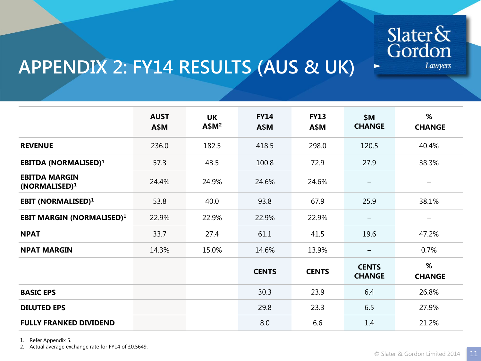

 $\blacktriangleright$ 

### **APPENDIX 2: FY14 RESULTS (AUS & UK)**

|                                                   | <b>AUST</b><br>A\$M | <b>UK</b><br>A\$M <sup>2</sup> | <b>FY14</b><br>A\$M | <b>FY13</b><br>A\$M | \$M<br><b>CHANGE</b>          | %<br><b>CHANGE</b>     |
|---------------------------------------------------|---------------------|--------------------------------|---------------------|---------------------|-------------------------------|------------------------|
| <b>REVENUE</b>                                    | 236.0               | 182.5                          | 418.5               | 298.0               | 120.5                         | 40.4%                  |
| <b>EBITDA (NORMALISED)1</b>                       | 57.3                | 43.5                           | 100.8               | 72.9                | 27.9                          | 38.3%                  |
| <b>EBITDA MARGIN</b><br>(NORMALISED) <sup>1</sup> | 24.4%               | 24.9%                          | 24.6%               | 24.6%               |                               | —                      |
| <b>EBIT (NORMALISED)1</b>                         | 53.8                | 40.0                           | 93.8                | 67.9                | 25.9                          | 38.1%                  |
| <b>EBIT MARGIN (NORMALISED)1</b>                  | 22.9%               | 22.9%                          | 22.9%               | 22.9%               |                               | $\qquad \qquad \qquad$ |
| <b>NPAT</b>                                       | 33.7                | 27.4                           | 61.1                | 41.5                | 19.6                          | 47.2%                  |
| <b>NPAT MARGIN</b>                                | 14.3%               | 15.0%                          | 14.6%               | 13.9%               |                               | 0.7%                   |
|                                                   |                     |                                | <b>CENTS</b>        | <b>CENTS</b>        | <b>CENTS</b><br><b>CHANGE</b> | %<br><b>CHANGE</b>     |
| <b>BASIC EPS</b>                                  |                     |                                | 30.3                | 23.9                | 6.4                           | 26.8%                  |
| <b>DILUTED EPS</b>                                |                     |                                | 29.8                | 23.3                | 6.5                           | 27.9%                  |
| <b>FULLY FRANKED DIVIDEND</b>                     |                     |                                | 8.0                 | 6.6                 | 1.4                           | 21.2%                  |

1. Refer Appendix 5.

2. Actual average exchange rate for FY14 of £0.5649.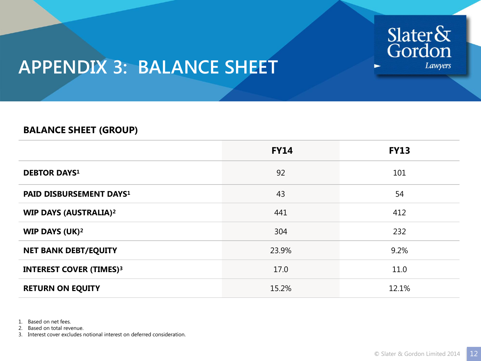

### **APPENDIX 3: BALANCE SHEET**

#### **BALANCE SHEET (GROUP)**

|                                     | <b>FY14</b> | <b>FY13</b> |
|-------------------------------------|-------------|-------------|
| <b>DEBTOR DAYS1</b>                 | 92          | 101         |
| PAID DISBURSEMENT DAYS <sup>1</sup> | 43          | 54          |
| <b>WIP DAYS (AUSTRALIA)2</b>        | 441         | 412         |
| <b>WIP DAYS (UK)<sup>2</sup></b>    | 304         | 232         |
| <b>NET BANK DEBT/EQUITY</b>         | 23.9%       | 9.2%        |
| <b>INTEREST COVER (TIMES)3</b>      | 17.0        | 11.0        |
| <b>RETURN ON EQUITY</b>             | 15.2%       | 12.1%       |

1. Based on net fees.

2. Based on total revenue.

3. Interest cover excludes notional interest on deferred consideration.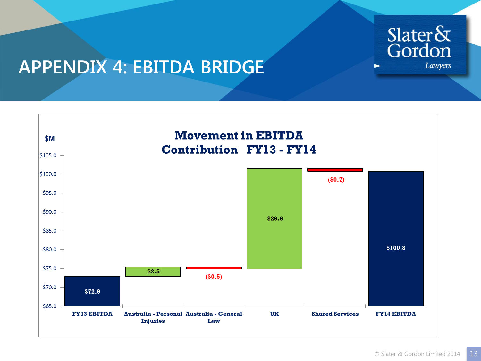

#### **APPENDIX 4: EBITDA BRIDGE**

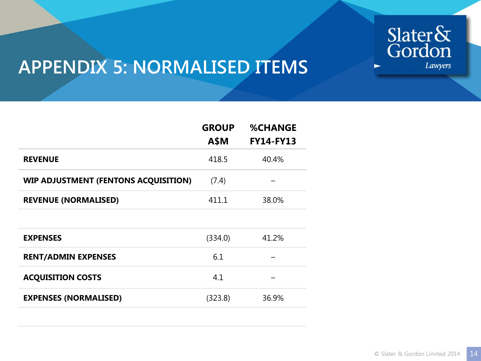

### **APPENDIX 5: NORMALISED ITEMS**

|                                             | <b>GROUP</b><br><b>A\$M</b> | <b>%CHANGE</b><br><b>FY14-FY13</b> |
|---------------------------------------------|-----------------------------|------------------------------------|
| <b>REVENUE</b>                              | 418.5                       | 40.4%                              |
| <b>WIP ADJUSTMENT (FENTONS ACQUISITION)</b> | (7.4)                       |                                    |
| <b>REVENUE (NORMALISED)</b>                 | 411.1                       | 38.0%                              |
|                                             |                             |                                    |
| <b>EXPENSES</b>                             | (334.0)                     | 41.2%                              |
| <b>RENT/ADMIN EXPENSES</b>                  | 6.1                         |                                    |
| <b>ACQUISITION COSTS</b>                    | 4.1                         |                                    |
| <b>EXPENSES (NORMALISED)</b>                | (323.8)                     | 36.9%                              |